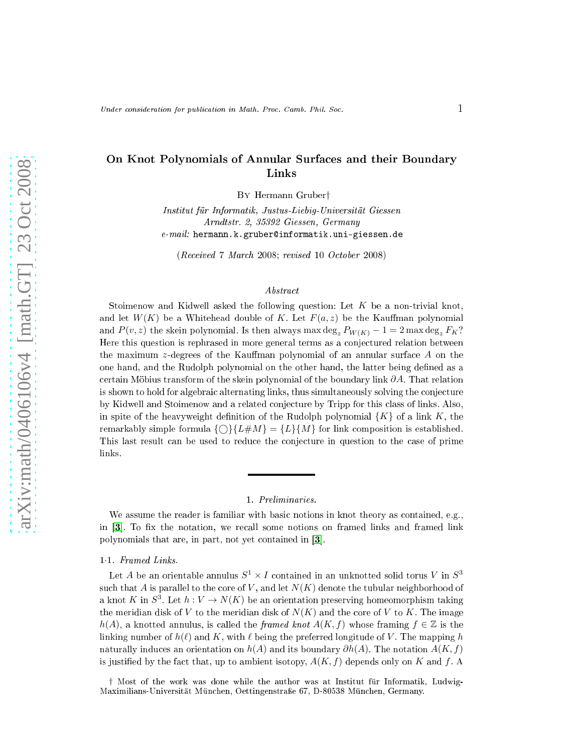# On Knot Polynomials of Annular Surfa
es and their Boundary Links

By Hermann Gruber†

Institut für Informatik, Justus-Liebig-Universität Giessen Arndtstr. 2, 35392 Giessen, Germany  $e-mail:$  hermann.k.gruber@informatik.uni-giessen.de

(Re
eived 7 Mar
h 2008; revised 10 O
tober 2008)

# $Abstract$

Stoimenow and Kidwell asked the following question: Let K be <sup>a</sup> non-trivial knot, and let  $W(K)$  be a Whitehead double of K. Let  $F(a, z)$  be the Kauffman polynomial and  $P(v, z)$  the skein polynomial. Is then always max deg<sub>z</sub>  $P_{W(K)} - 1 = 2 \max \deg_z F_K$ ? Here this question is rephrased in more general terms as a onje
tured relation between the maximum  $z$ -degrees of the Kauffman polynomial of an annular surface  $A$  on the one hand, and the Rudolph polynomial on the other hand, the latter being dened as a certain Möbius transform of the skein polynomial of the boundary link  $\partial A$ . That relation is shown to hold for algebraic alternating links, thus simultaneously solving the conjecture by Kidwell and Stoimenow and a related conjecture by Tripp for this class of links. Also, in spite of the heavyweight definition of the Rudolph polynomial  $\{K\}$  of a link K, the remarkably simple formula  $\{\bigcap\}{L \# M\} = \{L\} \{M\}$  for link composition is established. This last result can be used to reduce the conjecture in question to the case of prime links.

## 1. Preliminaries.

We assume the reader is familiar with basic notions in knot theory as contained, e.g., in [3]. To fix the notation, we recall some notions on framed links and framed link polynomials that are, in part, not yet contained in [3].

### 1·1. Framed Links.

Let A be an orientable annulus  $S^1 \times I$  contained in an unknotted solid torus V in  $S^3$ such that A is parallel to the core of  $V$ , and let  $N(K)$  denote the tubular neighborhood of a knot K in  $S^3$ . Let  $h: V \to N(K)$  be an orientation preserving homeomorphism taking the meridian disk of V to the meridian disk of  $N(K)$  and the core of V to K. The image  $h(A)$ , a knotted annulus, is called the framed knot  $A(K, f)$  whose framing  $f \in \mathbb{Z}$  is the linking number of  $h(\ell)$  and K, with  $\ell$  being the preferred longitude of V. The mapping h naturally induces an orientation on  $h(A)$  and its boundary  $\partial h(A)$ . The notation  $A(K, f)$ is justified by the fact that, up to ambient isotopy,  $A(K, f)$  depends only on K and f. A

† Most of the work was done while the author was at Institut für Informatik, Ludwig-Maximilians-Universität München, Oettingenstraße 67, D-80538 München, Germany.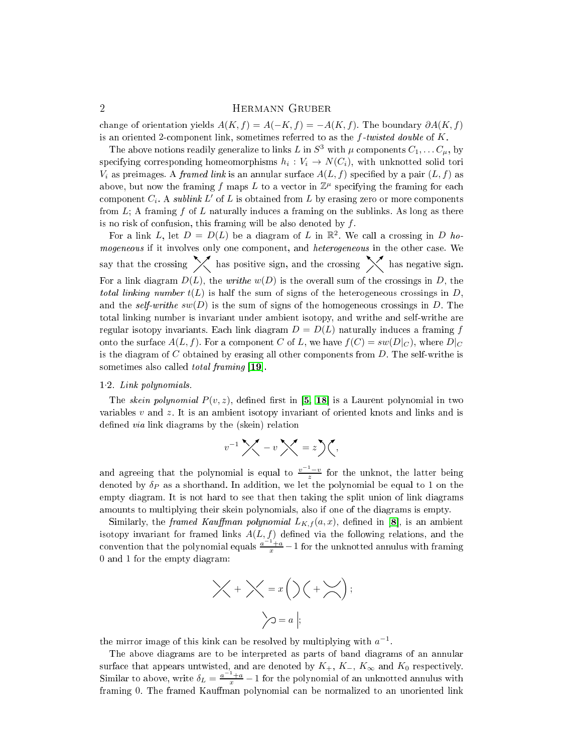change of orientation yields  $A(K, f) = A(-K, f) = -A(K, f)$ . The boundary  $\partial A(K, f)$ is an oriented 2-component link, sometimes referred to as the  $f$ -twisted double of  $K$ .

The above notions readily generalize to links  $L$  in  $S^3$  with  $\mu$  components  $C_1, \ldots C_{\mu},$  by specifying corresponding homeomorphisms  $h_i: V_i \to N(C_i)$ , with unknotted solid tori  $V_i$  as preimages. A *framed link* is an annular surface  $A(L, f)$  specified by a pair  $(L, f)$  as above, but now the framing f maps L to a vector in  $\mathbb{Z}^{\mu}$  specifying the framing for each component  $C_i$ . A sublink L' of L is obtained from L by erasing zero or more components from  $L$ ; A framing  $f$  of  $L$  naturally induces a framing on the sublinks. As long as there is no risk of confusion, this framing will be also denoted by  $f$ .

For a link L, let  $D = D(L)$  be a diagram of L in  $\mathbb{R}^2$ . We call a crossing in D homogeneous if it involves only one component, and heterogeneous in the other case. We say that the crossing  $\times$  has positive sign, and the crossing  $\times$  has negative sign. For a link diagram  $D(L)$ , the writhe  $w(D)$  is the overall sum of the crossings in D, the total linking number  $t(L)$  is half the sum of signs of the heterogeneous crossings in D, and the self-writhe  $sw(D)$  is the sum of signs of the homogeneous crossings in D. The total linking number is invariant under ambient isotopy, and writhe and self-writhe are regular isotopy invariants. Each link diagram  $D = D(L)$  naturally induces a framing f onto the surface  $A(L, f)$ . For a component C of L, we have  $f(C) = sw(D|_C)$ , where  $D|_C$ is the diagram of  $C$  obtained by erasing all other components from  $D$ . The self-writhe is sometimes also called *total framing* [19].

# 1·2. Link polynomials.

The skein polynomial  $P(v, z)$ , defined first in [[5,](#page-10-2) 18] is a Laurent polynomial in two variables  $v$  and  $z$ . It is an ambient isotopy invariant of oriented knots and links and is defined *via* link diagrams by the (skein) relation

$$
v^{-1}\bigtimes -v\bigtimes =z\bigg)\bigg\langle ,
$$

and agreeing that the polynomial is equal to  $\frac{v^{-1}-v}{z}$  for the unknot, the latter being denoted by  $\delta_P$  as a shorthand. In addition, we let the polynomial be equal to 1 on the empty diagram. It is not hard to see that then taking the split union of link diagrams amounts to multiplying their skein polynomials, also if one of the diagrams is empty.

Similarly, the framed Kauffman polynomial  $L_{K,f}(a, x)$ , defined in [8], is an ambient isotopy invariant for framed links  $A(L, f)$  defined via the following relations, and the convention that the polynomial equals  $\frac{a^{-1}+a}{x} - 1$  for the unknotted annulus with framing 0 and 1 for the empty diagram:

$$
\times + \times = x \left( \right) \left( + \times \right);
$$
  

$$
\times = a \Big|;
$$

the mirror image of this kink can be resolved by multiplying with  $a^{-1}$ .

The above diagrams are to be interpreted as parts of band diagrams of an annular surface that appears untwisted, and are denoted by  $K_+$ ,  $K_-, K_\infty$  and  $K_0$  respectively. Similar to above, write  $\delta_L = \frac{a^{-1} + a}{x} - 1$  for the polynomial of an unknotted annulus with framing 0. The framed Kauffman polynomial can be normalized to an unoriented link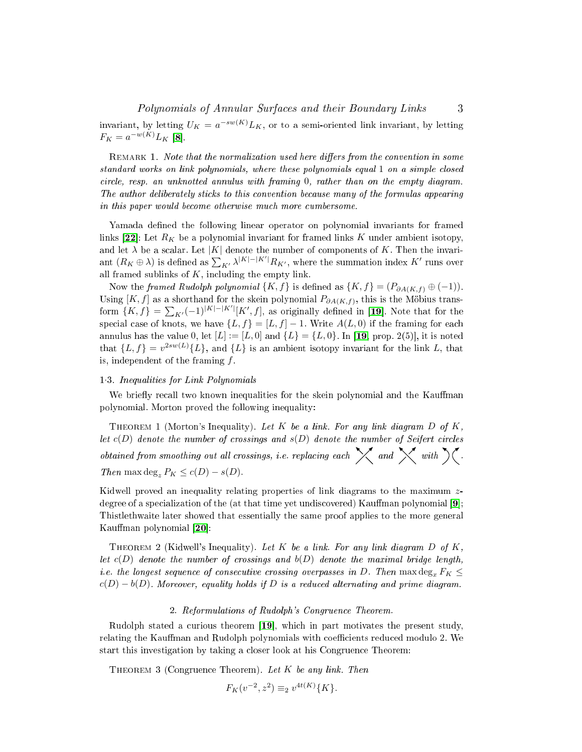# Polynomials of Annular Surfaces and their Boundary Links 3

invariant, by letting  $U_K = a^{-sw(K)} L_K$ , or to a semi-oriented link invariant, by letting  $F_K = a^{-w(K)} L_K$  [8].

REMARK 1. Note that the normalization used here differs from the convention in some standard works on link polynomials, where these polynomials equal 1 on a simple closed circle, resp. an unknotted annulus with framing 0, rather than on the empty diagram. The author deliberately sticks to this convention because many of the formulas appearing in this paper would become otherwise much more cumbersome. in this paper would be
ome otherwise mu
h more umbersome.

Yamada defined the following linear operator on polynomial invariants for framed links  $[22]$ : Let  $R_K$  be a polynomial invariant for framed links K under ambient isotopy, and let  $\lambda$  be a scalar. Let |K| denote the number of components of K. Then the invariant  $(R_K \oplus \lambda)$  is defined as  $\sum_{K'}^{\mathsf{I}} \lambda^{|K|-|K'|} R_{K'}$ , where the summation index  $K'$  runs over all framed sublinks of  $K$ , including the empty link.

Now the framed Rudolph polynomial  $\{K, f\}$  is defined as  $\{K, f\} = (P_{\partial A(K, f)} \oplus (-1)).$ Using  $[K, f]$  as a shorthand for the skein polynomial  $P_{\partial A(K, f)}$ , this is the Möbius trans-<br>form  $\{K, f\} = \sum_{K'} (-1)^{|K| - |K'|}[K', f]$ , as originally defined in [19]. Note that for the special case of knots, we have  $\{L, f\} = [L, f] - 1$ . Write  $A(L, 0)$  if the framing for each annulus has the value 0, let  $[L] := [L, 0]$  and  $\{L\} = \{L, 0\}$ . In [[19,](#page-10-1) prop. 2(5)], it is noted that  $\{L, f\} = v^{2sw(L)}\{L\}$ , and  $\{L\}$  is an ambient isotopy invariant for the link L, that is, independent of the framing  $f$ .

## <sup>1</sup>·3. Inequalities for Link Polynomials

We briefly recall two known inequalities for the skein polynomial and the Kauffman polynomial. Morton proved the following inequality:

THEOREM 1 (Morton's Inequality). Let K be a link. For any link diagram  $D$  of K, let  $c(D)$  denote the number of crossings and  $s(D)$  denote the number of Seifert circles obtained from smoothing out all crossings, i.e. replacing each  $\times$  and  $\times$  with  $\big\backslash\big\{$ . Then max deg<sub>z</sub>  $P_K \leq c(D) - s(D)$ .

Kidwell proved an inequality relating properties of link diagrams to the maximum  $z$ degree of a specialization of the (at that time yet undiscovered) Kauffman polynomial  $[9]$ ; Thistlethwaite later showed that essentially the same proof applies to the more general Kauffman polynomial [20]:

THEOREM 2 (Kidwell's Inequality). Let K be a link. For any link diagram  $D$  of K, let  $c(D)$  denote the number of crossings and  $b(D)$  denote the maximal bridge length, *i.e.* the longest sequence of consecutive crossing overpasses in D. Then  $\max \deg_x F_K$  <  $c(D) - b(D)$ . Moreover, equality holds if D is a reduced alternating and prime diagram.

# <span id="page-2-0"></span>2. Reformulations of Rudolph's Congruen
e Theorem.

Rudolph stated a curious theorem  $[19]$ , which in part motivates the present study, relating the Kauffman and Rudolph polynomials with coefficients reduced modulo 2. We start this investigation by taking a loser look at his Congruen
e Theorem:

THEOREM 3 (Congruence Theorem). Let  $K$  be any link. Then

$$
F_K(v^{-2}, z^2) \equiv_2 v^{4t(K)} \{K\}.
$$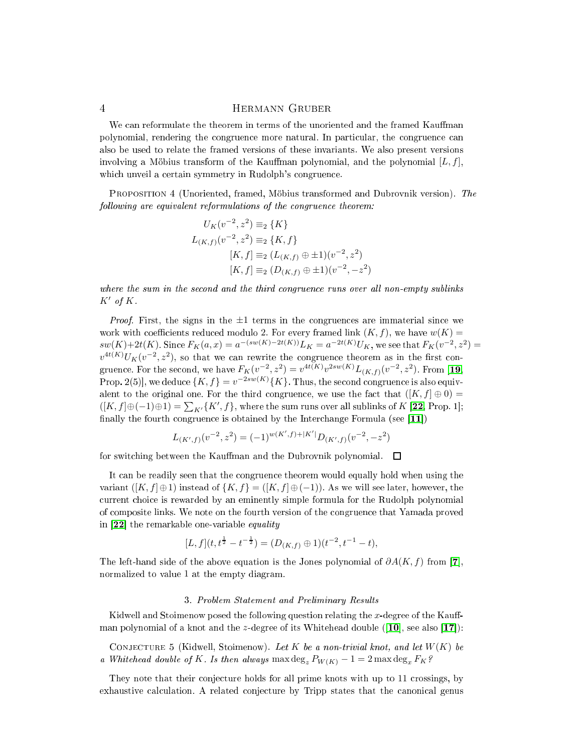We can reformulate the theorem in terms of the unoriented and the framed Kauffman polynomial, rendering the congruence more natural. In particular, the congruence can also be used to relate the framed versions of these invariants. We also present versions involving a Möbius transform of the Kauffman polynomial, and the polynomial  $[L, f]$ , which unveil a certain symmetry in Rudolph's congruence.

PROPOSITION 4 (Unoriented, framed, Möbius transformed and Dubrovnik version). The following are equivalent reformulations of the congruence theorem:

$$
U_K(v^{-2}, z^2) \equiv_2 \{K\}
$$
  
\n
$$
L_{(K,f)}(v^{-2}, z^2) \equiv_2 \{K, f\}
$$
  
\n
$$
[K, f] \equiv_2 (L_{(K,f)} \oplus \pm 1)(v^{-2}, z^2)
$$
  
\n
$$
[K, f] \equiv_2 (D_{(K,f)} \oplus \pm 1)(v^{-2}, -z^2)
$$

where the sum in the second and the third congruence runs over all non-empty sublinks  $K'$  of  $K$ .

*Proof.* First, the signs in the  $\pm 1$  terms in the congruences are immaterial since we work with coefficients reduced modulo 2. For every framed link  $(K, f)$ , we have  $w(K)$  =  $sw(K)+2t(K)$ . Since  $F_K(a,x)=a^{-(sw(K)-2t(K))}L_K=a^{-2t(K)}U_K$ , we see that  $F_K(v^{-2},z^2)=$  $v^{4t(K)}U_K(v^{-2},z^2)$ , so that we can rewrite the congruence theorem as in the first congruence. For the second, we have  $F_K(v^{-2}, z^2) = v^{4t(K)}v^{2sw(K)}L_{(K,f)}(v^{-2}, z^2)$ . From [[19,](#page-10-1) Prop. 2(5)], we deduce  $\{K, f\} = v^{-2sw(K)}\{K\}$ . Thus, the second congruence is also equivalent to the original one. For the third congruence, we use the fact that  $([K, f] \oplus 0)$  =  $([K, f] ⊕ (-1) ⊕ 1) = ∑_{K'}{K', f}$ , where the sum runs over all sublinks of K [[22,](#page-10-5) Prop. 1]; finally the fourth congruence is obtained by the Interchange Formula (see  $[11]$ )

$$
L_{(K',f)}(v^{-2},z^2) = (-1)^{w(K',f)+|K'|}D_{(K',f)}(v^{-2},-z^2)
$$

for switching between the Kauffman and the Dubrovnik polynomial.  $\Box$ 

It an be readily seen that the ongruen
e theorem would equally hold when using the variant  $([K, f] \oplus 1)$  instead of  $\{K, f\} = ([K, f] \oplus (-1))$ . As we will see later, however, the urrent hoi
e is rewarded by an eminently simple formula for the Rudolph polynomial of omposite links. We note on the fourth version of the ongruen
e that Yamada proved in [22] the remarkable one-variable *equality* 

$$
[L, f](t, t^{\frac{1}{2}} - t^{-\frac{1}{2}}) = (D_{(K, f)} \oplus 1)(t^{-2}, t^{-1} - t),
$$

The left-hand side of the above equation is the Jones polynomial of  $\partial A(K, f)$  from [7], normalized to value 1 at the empty diagram.

### 3. Problem Statement and Preliminary Results

<span id="page-3-0"></span>Kidwell and Stoimenow posed the following question relating the  $x$ -degree of the Kauffman polynomial of a knot and the z-degree of its Whitehead double ([10], see also [17]):

CONJECTURE 5 (Kidwell, Stoimenow). Let K be a non-trivial knot, and let  $W(K)$  be a Whitehead double of K. Is then always  $\max \deg_z P_{W(K)} - 1 = 2 \max \deg_x F_K$ ?

They note that their conjecture holds for all prime knots with up to 11 crossings, by exhaustive calculation. A related conjecture by Tripp states that the canonical genus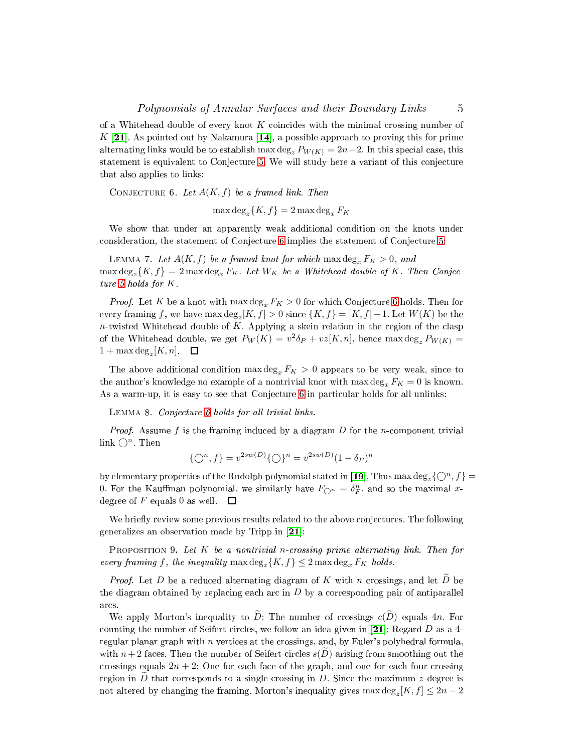of a Whitehead double of every knot  $K$  coincides with the minimal crossing number of K [21]. As pointed out by Nakamura [14], a possible approach to proving this for prime alternating links would be to establish max  $\deg_z P_{W(K)} = 2n-2$ . In this special case, this statement is equivalent to Conjecture [5.](#page-3-0) We will study here a variant of this conjecture that also applies to links:

CONJECTURE 6. Let  $A(K, f)$  be a framed link. Then

<span id="page-4-0"></span> $\max \deg_z{K, f} = 2 \max \deg_x F_K$ 

<span id="page-4-1"></span>We show that under an apparently weak additional condition on the knots under consideration, the statement of Conjecture [6](#page-4-0) implies the statement of Conjecture [5:](#page-3-0)

LEMMA 7. Let  $A(K, f)$  be a framed knot for which  $\max \deg_x F_K > 0$ , and  $\max \deg_z{K, f} = 2 \max \deg_x F_K$ . Let  $W_K$  be a Whitehead double of K. Then Conjec-ture [5](#page-3-0) holds for  $K$ .

*Proof.* Let K be a knot with  $\max \deg_x F_K > 0$  for which Conjecture [6](#page-4-0) holds. Then for every framing f, we have  $\max \deg_z[K, f] > 0$  since  $\{K, f\} = [K, f] - 1$ . Let  $W(K)$  be the  $n$ -twisted Whitehead double of  $K$ . Applying a skein relation in the region of the clasp of the Whitehead double, we get  $P_W(K) = v^2 \delta_P + vz[K, n]$ , hence  $\max \deg_z P_{W(K)} =$  $1 + \max \deg_z[K, n].$ 

The above additional condition  $\max \deg_x F_K > 0$  appears to be very weak, since to the author's knowledge no example of a nontrivial knot with  $\max \deg_x F_K = 0$  is known. As a warm-up, it is easy to see that Conjecture [6](#page-4-0) in particular holds for all unlinks:

LEMMA 8. Conjecture [6](#page-4-0) holds for all trivial links.

*Proof.* Assume f is the framing induced by a diagram D for the *n*-component trivial link  $\bigcirc^n$ . Then

<span id="page-4-3"></span><span id="page-4-2"></span>
$$
\{\bigcirc^n, f\} = v^{2sw(D)}\{\bigcirc\}^n = v^{2sw(D)}(1 - \delta_P)^n
$$

by elementary properties of the Rudolph polynomial stated in [19]. Thus max deg<sub>z</sub>{ $\bigcirc^n$ ,  $f$ } 0. For the Kauffman polynomial, we similarly have  $F_{\bigcirc^n} = \delta_F^n$ , and so the maximal xdegree of  $F$  equals 0 as well.  $\Box$ 

We briefly review some previous results related to the above conjectures. The following generalizes an observation made by Tripp in  $[21]$ :

**PROPOSITION** 9. Let  $K$  be a nontrivial n-crossing prime alternating link. Then for every framing f, the inequality  $\max \deg_z{K, f} \leq 2 \max \deg_x F_K$  holds.

*Proof.* Let D be a reduced alternating diagram of K with n crossings, and let D be the diagram obtained by replacing each arc in  $D$  by a corresponding pair of antiparallel ar
s.

We apply Morton's inequality to  $\widetilde{D}$ : The number of crossings  $c(\widetilde{D})$  equals 4n. For counting the number of Seifert circles, we follow an idea given in [21]: Regard D as a 4regular planar graph with  $n$  vertices at the crossings, and, by Euler's polyhedral formula, with  $n+2$  faces. Then the number of Seifert circles  $s(D)$  arising from smoothing out the crossings equals  $2n + 2$ : One for each face of the graph, and one for each four-crossing region in D that corresponds to a single crossing in D. Since the maximum  $z$ -degree is not altered by changing the framing, Morton's inequality gives  $\max\deg_z[K,f]\leq 2n-2$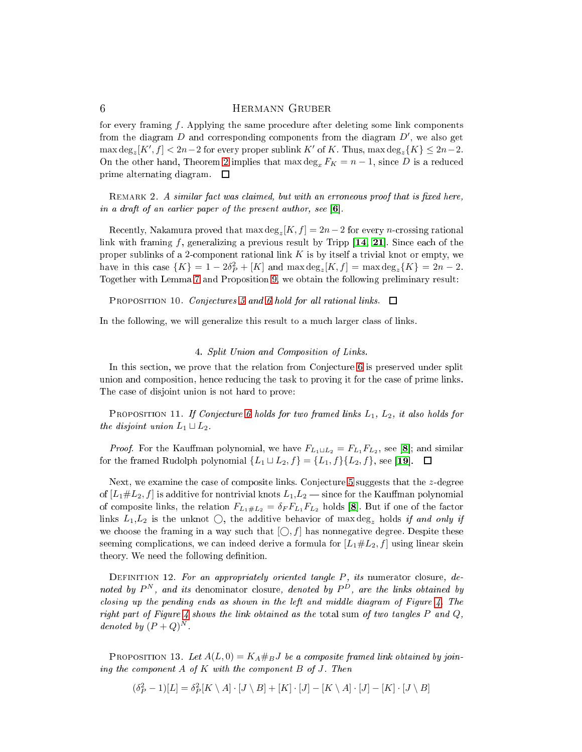for every framing  $f$ . Applying the same procedure after deleting some link components from the diagram  $D$  and corresponding components from the diagram  $D'$ , we also get  $\max\deg_z[K',f] < 2n-2$  for every proper sublink K' of K. Thus,  $\max\deg_z\{K\} \leq 2n-2$ . On the other hand, Theorem [2](#page-2-0) implies that  $\max \deg_x F_K = n - 1$ , since D is a reduced prime alternating diagram.  $\square$ 

REMARK 2. A similar fact was claimed, but with an erroneous proof that is fixed here, in a draft of an earlier paper of the present author, see  $[6]$ .

Recently, Nakamura proved that  $\max\deg_z[K,f]=2n-2$  for every *n*-crossing rational link with framing f, generalizing a previous result by Tripp  $\left[14, 21\right]$  $\left[14, 21\right]$  $\left[14, 21\right]$ . Since each of the proper sublinks of a 2omponent rational link K is by itself <sup>a</sup> trivial knot or empty, we have in this case  $\{K\} = 1 - 2\delta_P^2 + [K]$  and  $\max \deg_z[K, f] = \max \deg_z\{K\} = 2n - 2$ . Together with Lemma [7](#page-4-1) and Proposition [9,](#page-4-2) we obtain the following preliminary result:

**PROPOSITION 10.** Conjectures [5](#page-3-0) and [6](#page-4-0) hold for all rational links.  $\Box$ 

In the following, we will generalize this result to a much larger class of links.

# 4. Split Union and Composition of Links.

In this section, we prove that the relation from Conjecture [6](#page-4-0) is preserved under split union and composition, hence reducing the task to proving it for the case of prime links. The ase of disjoint union is not hard to prove:

PROPOSITION 11. If Conjecture [6](#page-4-0) holds for two framed links  $L_1$ ,  $L_2$ , it also holds for the disjoint union  $L_1 \sqcup L_2$ .

*Proof.* For the Kauffman polynomial, we have  $F_{L_1 \cup L_2} = F_{L_1} F_{L_2}$ , see [8]; and similar for the framed Rudolph polynomial  $\{L_1 \sqcup L_2, f\} = \{L_1, f\} \{L_2, f\}$ , see [19].

Next, we examine the case of composite links. Conjecture [5](#page-3-0) suggests that the z-degree of  $[L_1 \# L_2, f]$  is additive for nontrivial knots  $L_1, L_2$  — since for the Kauffman polynomial of composite links, the relation  $F_{L_1\# L_2} = \delta_F F_{L_1} F_{L_2}$  holds [8]. But if one of the factor links  $L_1, L_2$  is the unknot  $\bigcirc$ , the additive behavior of max deg<sub>z</sub> holds if and only if we choose the framing in a way such that  $[0, f]$  has nonnegative degree. Despite these seeming complications, we can indeed derive a formula for  $[L_1# L_2, f]$  using linear skein theory. We need the following definition.

<span id="page-5-0"></span>DEFINITION 12. For an appropriately oriented tangle P, its numerator closure, denoted by  $P^N$ , and its denominator closure, denoted by  $P^D$ , are the links obtained by closing up the pending ends as shown in the left and middle diagram of Figure [4.](#page-5-0) The right part of Figure [4](#page-5-0) shows the link obtained as the total sum of two tangles  $P$  and  $Q$ , denoted by  $(P+Q)^N$ .

<span id="page-5-1"></span>PROPOSITION 13. Let  $A(L, 0) = K_A \#_B J$  be a composite framed link obtained by joining the component  $A$  of  $K$  with the component  $B$  of  $J$ . Then

$$
(\delta_P^2 - 1)[L] = \delta_P^2[K \setminus A] \cdot [J \setminus B] + [K] \cdot [J] - [K \setminus A] \cdot [J] - [K] \cdot [J \setminus B]
$$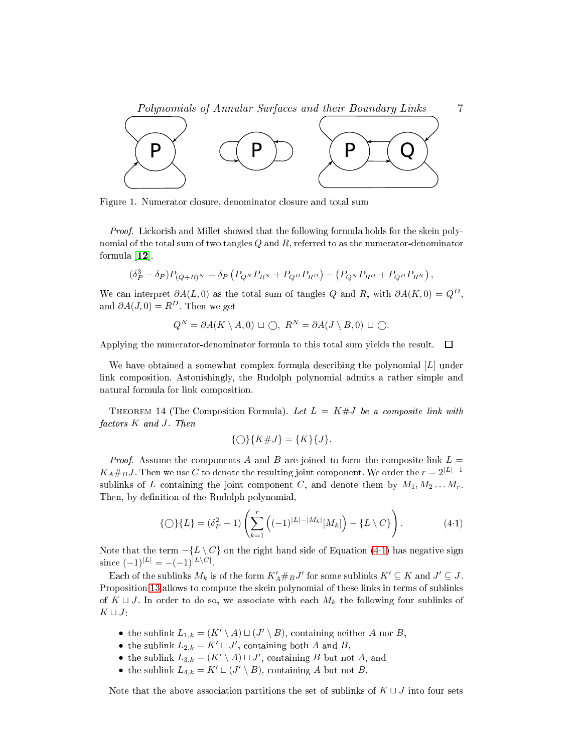

Figure 1. Numerator closure, denominator closure and total sum

Proof. Lickorish and Millet showed that the following formula holds for the skein polynomial of the total sum of two tangles  $Q$  and  $R$ , referred to as the numerator-denominator formula  $[12]$ .

$$
(\delta_P^3 - \delta_P)P_{(Q+R)^N} = \delta_P \left(P_{Q^N} P_{R^N} + P_{Q^D} P_{R^D}\right) - \left(P_{Q^N} P_{R^D} + P_{Q^D} P_{R^N}\right),
$$

We can interpret  $\partial A(L, 0)$  as the total sum of tangles Q and R, with  $\partial A(K, 0) = Q^D$ , and  $\partial A(J,0) = R^D$ . Then we get

$$
Q^N = \partial A(K \setminus A, 0) \sqcup \bigcirc, R^N = \partial A(J \setminus B, 0) \sqcup \bigcirc.
$$

Applying the numerator-denominator formula to this total sum yields the result.  $\Box$ 

We have obtained a somewhat complex formula describing the polynomial  $[L]$  under link omposition. Astonishingly, the Rudolph polynomial admits a rather simple and natural formula for link omposition.

<span id="page-6-1"></span>THEOREM 14 (The Composition Formula). Let  $L = K \# J$  be a composite link with factors K and J. Then

$$
\{\bigcirc\}\{K\#J\} = \{K\}\{J\}.
$$

*Proof.* Assume the components A and B are joined to form the composite link  $L =$  $K_A#_B J$ . Then we use C to denote the resulting joint component. We order the  $r = 2^{|L|-1}$ sublinks of L containing the joint component C, and denote them by  $M_1, M_2 \ldots M_r$ . Then, by definition of the Rudolph polynomial,

<span id="page-6-0"></span>
$$
\{\bigcirc\}\{L\} = (\delta_P^2 - 1) \left(\sum_{k=1}^r \left((-1)^{|L| - |M_k|} [M_k]\right) - \{L \setminus C\}\right). \tag{4.1}
$$

Note that the term  $-\{L \setminus C\}$  on the right hand side of Equation (4[·](#page-6-0)1) has negative sign since  $(-1)^{|L|} = -(-1)^{|L\setminus C|}$ .

Each of the sublinks  $M_k$  is of the form  $K'_A \#_B J'$  for some sublinks  $K' \subseteq K$  and  $J' \subseteq J$ . Proposition [13](#page-5-1) allows to compute the skein polynomial of these links in terms of sublinks of  $K ⊔ J$ . In order to do so, we associate with each  $M_k$  the following four sublinks of  $K \sqcup J$ :

- the sublink  $L_{1,k} = (K' \setminus A) \sqcup (J' \setminus B)$ , containing neither A nor B,
- the sublink  $L_{2,k} = K' \sqcup J'$ , containing both A and B,
- the sublink  $L_{3,k} = (K' \setminus A) \sqcup J'$ , containing B but not A, and
- the sublink  $L_{4,k} = K' \sqcup (J' \setminus B)$ , containing A but not B.

Note that the above association partitions the set of sublinks of  $K \sqcup J$  into four sets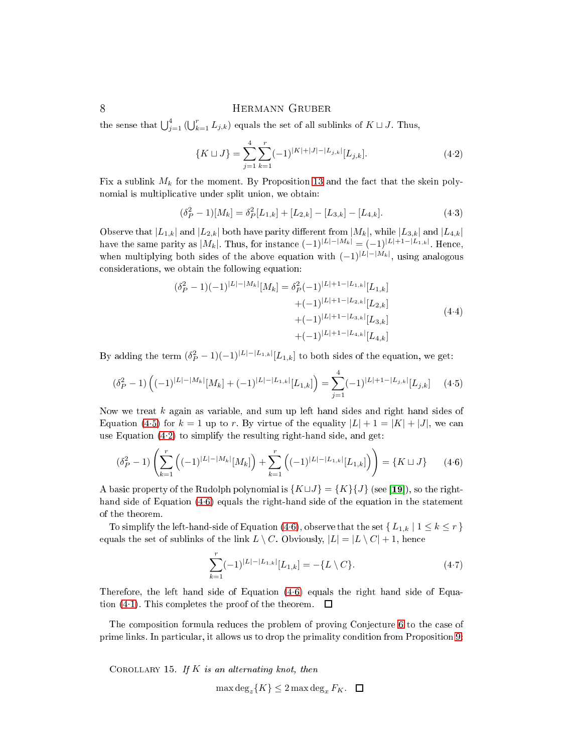the sense that  $\bigcup_{j=1}^4 (\bigcup_{k=1}^r L_{j,k})$  equals the set of all sublinks of  $K \sqcup J$ . Thus,

<span id="page-7-1"></span>
$$
\{K \sqcup J\} = \sum_{j=1}^{4} \sum_{k=1}^{r} (-1)^{|K|+|J|-|L_{j,k}|} [L_{j,k}]. \tag{4.2}
$$

Fix a sublink  $M_k$  for the moment. By Proposition [13](#page-5-1) and the fact that the skein polynomial is multipli
ative under split union, we obtain:

$$
(\delta_P^2 - 1)[M_k] = \delta_P^2 [L_{1,k}] + [L_{2,k}] - [L_{3,k}] - [L_{4,k}].
$$
\n(4.3)

Observe that  $|L_{1,k}|$  and  $|L_{2,k}|$  both have parity different from  $|M_k|$ , while  $|L_{3,k}|$  and  $|L_{4,k}|$ have the same parity as  $|M_k|$ . Thus, for instance  $(-1)^{|L|-|M_k|} = (-1)^{|L|+1-|L_{1,k}|}$ . Hence, when multiplying both sides of the above equation with  $(-1)^{|L|-|M_k|}$ , using analogous onsiderations, we obtain the following equation:

$$
(\delta_P^2 - 1)(-1)^{|L| - |M_k|} [M_k] = \delta_P^2 (-1)^{|L| + 1 - |L_{1,k}|} [L_{1,k}]
$$
  
+ 
$$
(-1)^{|L| + 1 - |L_{2,k}|} [L_{2,k}]
$$
  
+ 
$$
(-1)^{|L| + 1 - |L_{3,k}|} [L_{3,k}]
$$
  
+ 
$$
(-1)^{|L| + 1 - |L_{4,k}|} [L_{4,k}]
$$
 (4.4)

By adding the term  $(\delta_P^2 - 1)(-1)^{|L|-|L_{1,k}|}[L_{1,k}]$  to both sides of the equation, we get:

<span id="page-7-0"></span>
$$
(\delta_P^2 - 1) \left( (-1)^{|L| - |M_k|} [M_k] + (-1)^{|L| - |L_{1,k}|} [L_{1,k}] \right) = \sum_{j=1}^4 (-1)^{|L| + 1 - |L_{j,k}|} [L_{j,k}] \tag{4.5}
$$

Now we treat  $k$  again as variable, and sum up left hand sides and right hand sides of Equation (4.5) for  $k = 1$  up to r. By virtue of the equality  $|L| + 1 = |K| + |J|$ , we can use Equation (4[·](#page-7-1)2) to simplify the resulting right-hand side, and get:

<span id="page-7-2"></span>
$$
(\delta_P^2 - 1) \left( \sum_{k=1}^r \left( (-1)^{|L|-|M_k|} [M_k] \right) + \sum_{k=1}^r \left( (-1)^{|L|-|L_{1,k}|} [L_{1,k}] \right) \right) = \{ K \sqcup J \} \qquad (4.6)
$$

A basic property of the Rudolph polynomial is  $\{K \sqcup J\} = \{K\} \{J\}$  (see [19]), so the righthand side of Equation  $(4.6)$  equals the right-hand side of the equation in the statement of the theorem.

To simplify the left-hand-side of Equation (4.6), observe that the set  $\{L_{1,k} | 1 \leq k \leq r\}$ equals the set of sublinks of the link  $L \setminus C$ . Obviously,  $|L| = |L \setminus C| + 1$ , hence

$$
\sum_{k=1}^{r} (-1)^{|L|-|L_{1,k}|} [L_{1,k}] = -\{L \setminus C\}.
$$
 (4.7)

Therefore, the left hand side of Equation (4[·](#page-7-2)6) equals the right hand side of Equation (4[·](#page-6-0)1). This ompletes the proof of the theorem.  $\Box$ 

The omposition formula redu
es the problem of proving Conje
ture [6](#page-4-0) to the ase of prime links. In particular, it allows us to drop the primality condition from Proposition [9:](#page-4-2)

COROLLARY 15. If  $K$  is an alternating knot, then

 $\max \deg_z{K} \leq 2 \max \deg_x F_K.$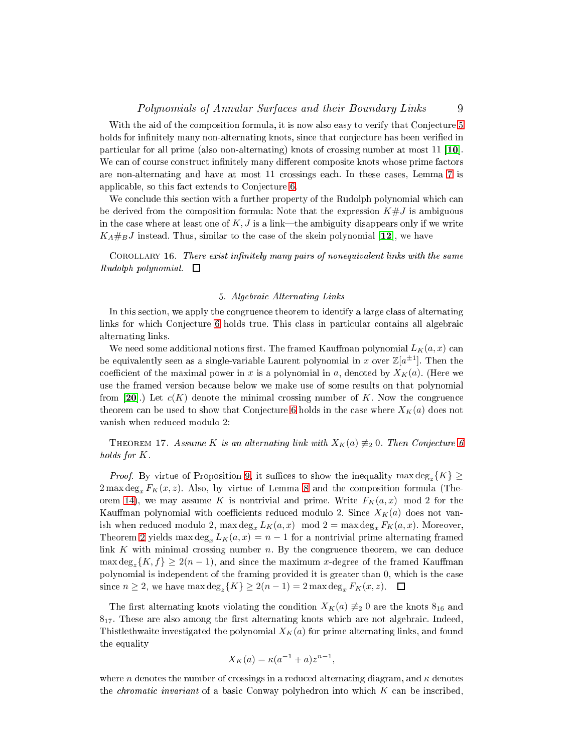With the aid of the composition formula, it is now also easy to verify that Conjecture [5](#page-3-0) holds for infinitely many non-alternating knots, since that conjecture has been verified in particular for all prime (also non-alternating) knots of crossing number at most  $11 \vert 10 \vert$ . We can of course construct infinitely many different composite knots whose prime factors are non-alternating and have at most 11 crossings each. In these cases, Lemma [7](#page-4-1) is appli
able, so this fa
t extends to Conje
ture [6.](#page-4-0)

We conclude this section with a further property of the Rudolph polynomial which can be derived from the composition formula: Note that the expression  $K \# J$  is ambiguous in the case where at least one of  $K, J$  is a link—the ambiguity disappears only if we write  $K_A \#_B J$  instead. Thus, similar to the case of the skein polynomial [12], we have

COROLLARY 16. There exist infinitely many pairs of nonequivalent links with the same  $Rudolph$  polynomial.  $\Box$ 

### 5. Algebrai Alternating Links

In this section, we apply the congruence theorem to identify a large class of alternating links for which Conjecture [6](#page-4-0) holds true. This class in particular contains all algebraic alternating links.

We need some additional notions first. The framed Kauffman polynomial  $L_K(a, x)$  can be equivalently seen as a single-variable Laurent polynomial in x over  $\mathbb{Z}[a^{\pm 1}]$ . Then the coefficient of the maximal power in x is a polynomial in a, denoted by  $X_K(a)$ . (Here we use the framed version be
ause below we make use of some results on that polynomial from [20].) Let  $c(K)$  denote the minimal crossing number of K. Now the congruence theorem can be used to show that Conjecture [6](#page-4-0) holds in the case where  $X_K(a)$  does not vanish when redu
ed modulo 2:

THEOREM 17. Assume K is an alternating link with  $X_K(a) \neq 0$ . Then Conjecture [6](#page-4-0) holds for K.

*Proof.* By virtue of Proposition [9,](#page-4-2) it suffices to show the inequality max  $\deg_z\{K\} \ge$  $2 \max \deg_x F_K(x, z)$ . Also, by virtue of Lemma [8](#page-4-3) and the composition formula (The-orem [14\)](#page-6-1), we may assume K is nontrivial and prime. Write  $F_K(a, x) \mod 2$  for the Kauffman polynomial with coefficients reduced modulo 2. Since  $X_K(a)$  does not vanish when reduced modulo 2, max  $\deg_x L_K(a,x) \mod 2 = \max \deg_x F_K(a,x)$ . Moreover, Theorem [2](#page-2-0) yields  $\max \deg_x L_K(a, x) = n - 1$  for a nontrivial prime alternating framed link  $K$  with minimal crossing number  $n$ . By the congruence theorem, we can deduce  $\max \deg_z\{K, f\} \geq 2(n-1)$ , and since the maximum x-degree of the framed Kauffman polynomial is independent of the framing provided it is greater than 0, whi
h is the ase since  $n \geq 2$ , we have max  $\deg_z\{K\} \geq 2(n-1) = 2 \max \deg_x F_K(x, z)$ .

The first alternating knots violating the condition  $X_K(a) \neq 0$  are the knots  $8_{16}$  and  $8<sub>17</sub>$ . These are also among the first alternating knots which are not algebraic. Indeed, Thistlethwaite investigated the polynomial  $X_K(a)$  for prime alternating links, and found the equality

$$
X_K(a) = \kappa(a^{-1} + a)z^{n-1},
$$

where *n* denotes the number of crossings in a reduced alternating diagram, and  $\kappa$  denotes the *chromatic invariant* of a basic Conway polyhedron into which  $K$  can be inscribed,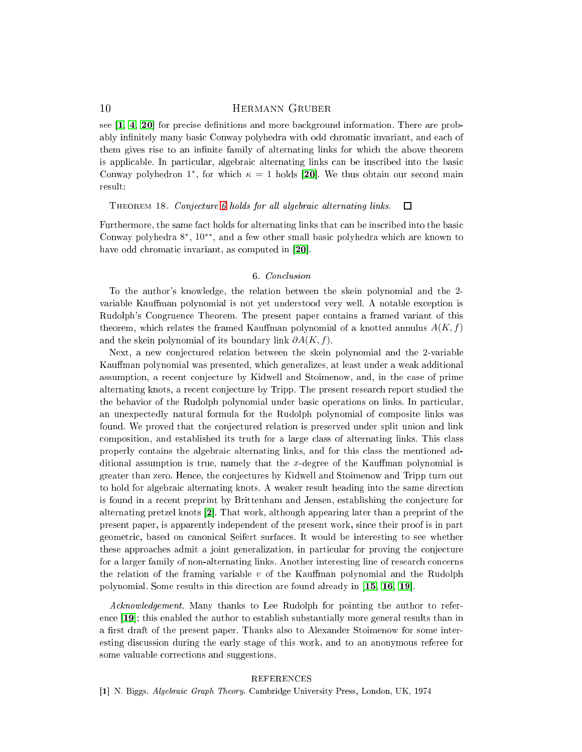see  $\left[1, 4, 20\right]$  $\left[1, 4, 20\right]$  $\left[1, 4, 20\right]$  $\left[1, 4, 20\right]$  $\left[1, 4, 20\right]$  for precise definitions and more background information. There are probably infinitely many basic Conway polyhedra with odd chromatic invariant, and each of them gives rise to an infinite family of alternating links for which the above theorem is applicable. In particular, algebraic alternating links can be inscribed into the basic Conway polyhedron 1<sup>\*</sup>, for which  $\kappa = 1$  holds [20]. We thus obtain our second main result:

THEOREM 18. Conjecture [6](#page-4-0) holds for all algebraic alternating links.  $\Box$ 

Furthermore, the same fact holds for alternating links that can be inscribed into the basic Conway polyhedra 8 ∗ , 10∗∗ , and a few other small basi polyhedra whi
h are known to have odd chromatic invariant, as computed in [20].

# 6. Con
lusion

To the author's knowledge, the relation between the skein polynomial and the 2 variable Kauffman polynomial is not yet understood very well. A notable exception is Rudolph's Congruen
e Theorem. The present paper ontains a framed variant of this theorem, which relates the framed Kauffman polynomial of a knotted annulus  $A(K, f)$ and the skein polynomial of its boundary link  $\partial A(K, f)$ .

Next, a new onje
tured relation between the skein polynomial and the 2-variable Kauffman polynomial was presented, which generalizes, at least under a weak additional assumption, a re
ent onje
ture by Kidwell and Stoimenow, and, in the ase of prime alternating knots, a recent conjecture by Tripp. The present research report studied the the behavior of the Rudolph polynomial under basic operations on links. In particular, an unexpe
tedly natural formula for the Rudolph polynomial of omposite links was found. We proved that the conjectured relation is preserved under split union and link composition, and established its truth for a large class of alternating links. This class properly ontains the algebrai alternating links, and for this lass the mentioned additional assumption is true, namely that the x-degree of the Kauffman polynomial is greater than zero. Hen
e, the onje
tures by Kidwell and Stoimenow and Tripp turn out to hold for algebraic alternating knots. A weaker result heading into the same direction is found in a re
ent preprint by Brittenham and Jensen, establishing the onje
ture for alternating pretzel knots  $[2]$ . That work, although appearing later than a preprint of the present paper, is apparently independent of the present work, sin
e their proof is in part geometri
, based on anoni
al Seifert surfa
es. It would be interesting to see whether these approaches admit a joint generalization, in particular for proving the conjecture for a larger family of non-alternating links. Another interesting line of research concerns the relation of the framing variable  $v$  of the Kauffman polynomial and the Rudolph polynomial. Some results in this direction are found already in  $[15, 16, 19]$  $[15, 16, 19]$  $[15, 16, 19]$  $[15, 16, 19]$  $[15, 16, 19]$ .

Acknowledgement. Many thanks to Lee Rudolph for pointing the author to reference  $[19]$ ; this enabled the author to establish substantially more general results than in a first draft of the present paper. Thanks also to Alexander Stoimenow for some interesting dis
ussion during the early stage of this work, and to an anonymous referee for some valuable orre
tions and suggestions.

### REFERENCES

<span id="page-9-0"></span>[1] N. Biggs. Algebraic Graph Theory. Cambridge University Press, London, UK, 1974